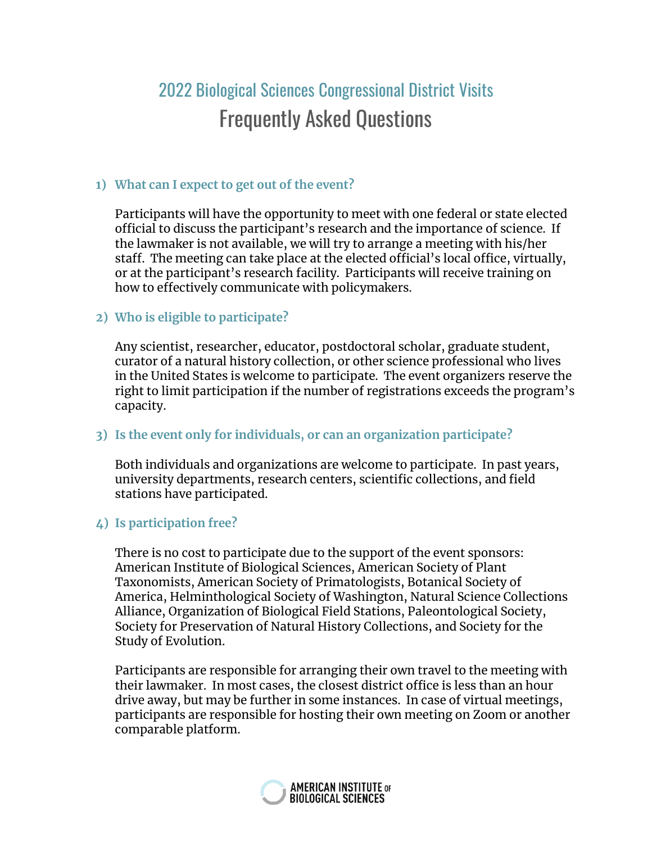# 2022 Biological Sciences Congressional District Visits Frequently Asked Questions

## **1) What can I expect to get out of the event?**

Participants will have the opportunity to meet with one federal or state elected official to discuss the participant's research and the importance of science. If the lawmaker is not available, we will try to arrange a meeting with his/her staff. The meeting can take place at the elected official's local office, virtually, or at the participant's research facility. Participants will receive training on how to effectively communicate with policymakers.

## **2) Who is eligible to participate?**

Any scientist, researcher, educator, postdoctoral scholar, graduate student, curator of a natural history collection, or other science professional who lives in the United States is welcome to participate. The event organizers reserve the right to limit participation if the number of registrations exceeds the program's capacity.

## **3) Is the event only for individuals, or can an organization participate?**

Both individuals and organizations are welcome to participate. In past years, university departments, research centers, scientific collections, and field stations have participated.

# **4) Is participation free?**

There is no cost to participate due to the support of the event sponsors: American Institute of Biological Sciences, American Society of Plant Taxonomists, American Society of Primatologists, Botanical Society of America, Helminthological Society of Washington, Natural Science Collections Alliance, Organization of Biological Field Stations, Paleontological Society, Society for Preservation of Natural History Collections, and Society for the Study of Evolution.

Participants are responsible for arranging their own travel to the meeting with their lawmaker. In most cases, the closest district office is less than an hour drive away, but may be further in some instances. In case of virtual meetings, participants are responsible for hosting their own meeting on Zoom or another comparable platform.

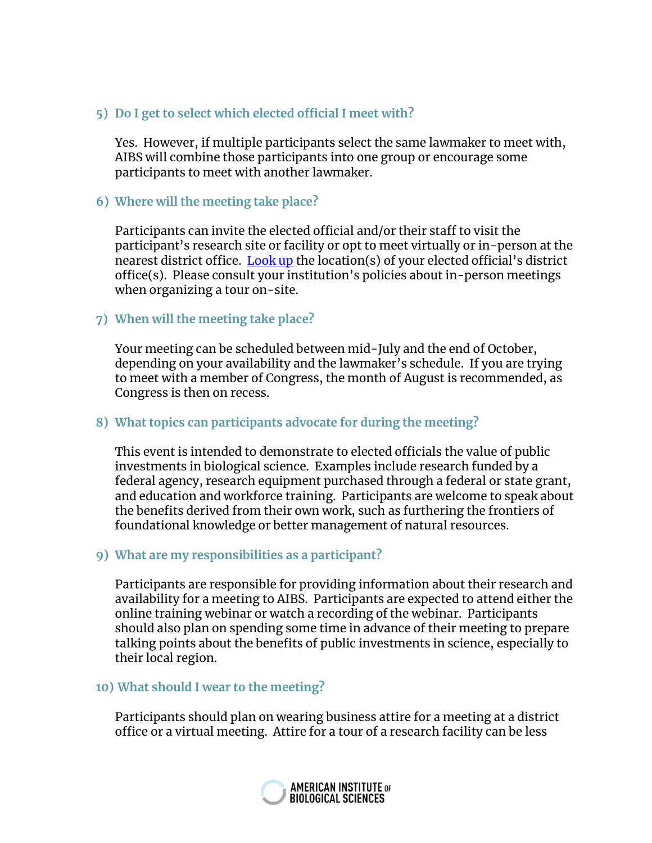## **5) Do I get to select which elected official I meet with?**

Yes. However, if multiple participants select the same lawmaker to meet with, AIBS will combine those participants into one group or encourage some participants to meet with another lawmaker.

#### **6) Where will the meeting take place?**

Participants can invite the elected official and/or their staff to visit the participant's research site or facility or opt to meet virtually or in-person at the nearest district office. [Look](https://aibs.salsalabs.org/getlocal/index.html) up the location(s) of your elected official's district office(s). Please consult your institution's policies about in-person meetings when organizing a tour on-site.

#### **7) When will the meeting take place?**

Your meeting can be scheduled between mid-July and the end of October, depending on your availability and the lawmaker's schedule. If you are trying to meet with a member of Congress, the month of August is recommended, as Congress is then on recess.

#### **8) What topics can participants advocate for during the meeting?**

This event is intended to demonstrate to elected officials the value of public investments in biological science. Examples include research funded by a federal agency, research equipment purchased through a federal or state grant, and education and workforce training. Participants are welcome to speak about the benefits derived from their own work, such as furthering the frontiers of foundational knowledge or better management of natural resources.

#### **9) What are my responsibilities as a participant?**

Participants are responsible for providing information about their research and availability for a meeting to AIBS. Participants are expected to attend either the online training webinar or watch a recording of the webinar. Participants should also plan on spending some time in advance of their meeting to prepare talking points about the benefits of public investments in science, especially to their local region.

#### **10) What should I wear to the meeting?**

Participants should plan on wearing business attire for a meeting at a district office or a virtual meeting. Attire for a tour of a research facility can be less